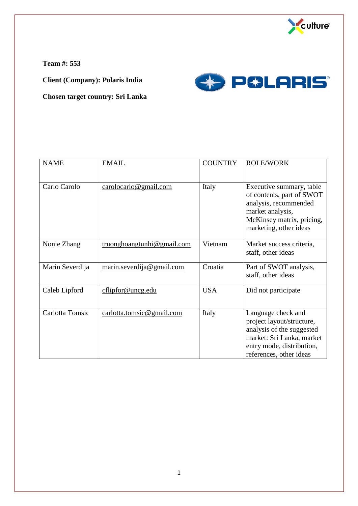

**Team #: 553**

**Client (Company): Polaris India**



**Chosen target country: Sri Lanka**

| <b>NAME</b>     | <b>EMAIL</b>               | <b>COUNTRY</b> | <b>ROLE/WORK</b>                                                                                                                                                  |
|-----------------|----------------------------|----------------|-------------------------------------------------------------------------------------------------------------------------------------------------------------------|
| Carlo Carolo    | cardo@gmail.com            | Italy          | Executive summary, table<br>of contents, part of SWOT<br>analysis, recommended<br>market analysis,<br>McKinsey matrix, pricing,<br>marketing, other ideas         |
| Nonie Zhang     | truonghoangtunhi@gmail.com | Vietnam        | Market success criteria,<br>staff, other ideas                                                                                                                    |
| Marin Severdija | marin.severdija@gmail.com  | Croatia        | Part of SWOT analysis,<br>staff, other ideas                                                                                                                      |
| Caleb Lipford   | cflipfor@uncg.edu          | <b>USA</b>     | Did not participate                                                                                                                                               |
| Carlotta Tomsic | carlotta.tomsic@gmail.com  | Italy          | Language check and<br>project layout/structure,<br>analysis of the suggested<br>market: Sri Lanka, market<br>entry mode, distribution,<br>references, other ideas |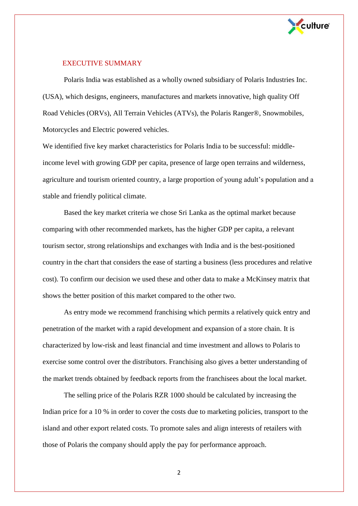

## EXECUTIVE SUMMARY

Polaris India was established as a wholly owned subsidiary of Polaris Industries Inc. (USA), which designs, engineers, manufactures and markets innovative, high quality Off Road Vehicles (ORVs), All Terrain Vehicles (ATVs), the Polaris Ranger®, Snowmobiles, Motorcycles and Electric powered vehicles.

We identified five key market characteristics for Polaris India to be successful: middleincome level with growing GDP per capita, presence of large open terrains and wilderness, agriculture and tourism oriented country, a large proportion of young adult's population and a stable and friendly political climate.

Based the key market criteria we chose Sri Lanka as the optimal market because comparing with other recommended markets, has the higher GDP per capita, a relevant tourism sector, strong relationships and exchanges with India and is the best-positioned country in the chart that considers the ease of starting a business (less procedures and relative cost). To confirm our decision we used these and other data to make a McKinsey matrix that shows the better position of this market compared to the other two.

As entry mode we recommend franchising which permits a relatively quick entry and penetration of the market with a rapid development and expansion of a store chain. It is characterized by low-risk and least financial and time investment and allows to Polaris to exercise some control over the distributors. Franchising also gives a better understanding of the market trends obtained by feedback reports from the franchisees about the local market.

The selling price of the Polaris RZR 1000 should be calculated by increasing the Indian price for a 10 % in order to cover the costs due to marketing policies, transport to the island and other export related costs. To promote sales and align interests of retailers with those of Polaris the company should apply the pay for performance approach.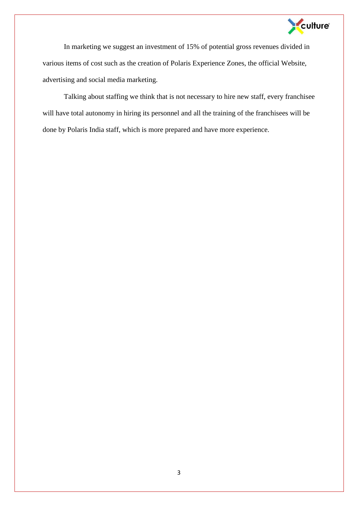

In marketing we suggest an investment of 15% of potential gross revenues divided in various items of cost such as the creation of Polaris Experience Zones, the official Website, advertising and social media marketing.

Talking about staffing we think that is not necessary to hire new staff, every franchisee will have total autonomy in hiring its personnel and all the training of the franchisees will be done by Polaris India staff, which is more prepared and have more experience.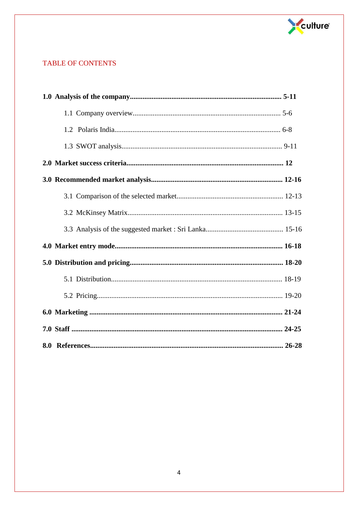

# **TABLE OF CONTENTS**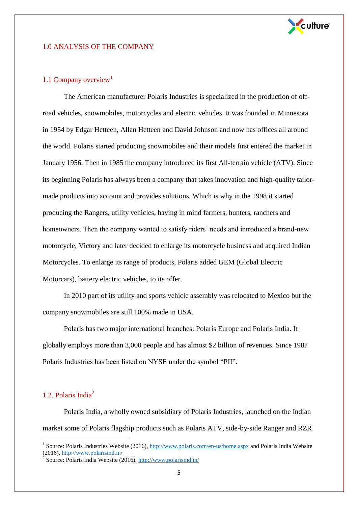

#### 1.0 ANALYSIS OF THE COMPANY

#### 1.1 Company overview<sup>1</sup>

The American manufacturer Polaris Industries is specialized in the production of offroad vehicles, snowmobiles, motorcycles and electric vehicles. It was founded in Minnesota in 1954 by Edgar Hetteen, Allan Hetteen and David Johnson and now has offices all around the world. Polaris started producing snowmobiles and their models first entered the market in January 1956. Then in 1985 the company introduced its first All-terrain vehicle (ATV). Since its beginning Polaris has always been a company that takes innovation and high-quality tailormade products into account and provides solutions. Which is why in the 1998 it started producing the Rangers, utility vehicles, having in mind farmers, hunters, ranchers and homeowners. Then the company wanted to satisfy riders' needs and introduced a brand-new motorcycle, Victory and later decided to enlarge its motorcycle business and acquired Indian Motorcycles. To enlarge its range of products, Polaris added GEM (Global Electric Motorcars), battery electric vehicles, to its offer.

In 2010 part of its utility and sports vehicle assembly was relocated to Mexico but the company snowmobiles are still 100% made in USA.

Polaris has two major international branches: Polaris Europe and Polaris India. It globally employs more than 3,000 people and has almost \$2 billion of revenues. Since 1987 Polaris Industries has been listed on NYSE under the symbol "PII".

## 1.2. Polaris India<sup>2</sup>

l

Polaris India, a wholly owned subsidiary of Polaris Industries, launched on the Indian market some of Polaris flagship products such as Polaris ATV, side-by-side Ranger and RZR

<sup>&</sup>lt;sup>1</sup> Source: Polaris Industries Website (2016),<http://www.polaris.com/en-us/home.aspx> and Polaris India Website (2016)[, http://www.polarisind.in/](http://www.polarisind.in/)

<sup>&</sup>lt;sup>2</sup> Source: Polaris India Website (2016),  $\frac{http://www.polarisind.in/100000}{http://www.polarisind.in/1000000}$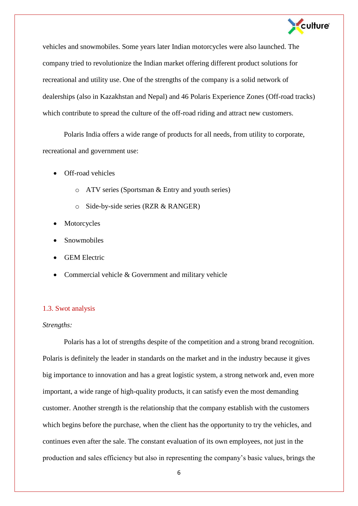

vehicles and snowmobiles. Some years later Indian motorcycles were also launched. The company tried to revolutionize the Indian market offering different product solutions for recreational and utility use. One of the strengths of the company is a solid network of dealerships (also in Kazakhstan and Nepal) and 46 Polaris Experience Zones (Off-road tracks) which contribute to spread the culture of the off-road riding and attract new customers.

Polaris India offers a wide range of products for all needs, from utility to corporate, recreational and government use:

- Off-road vehicles
	- o ATV series (Sportsman & Entry and youth series)
	- o Side-by-side series (RZR & RANGER)
- Motorcycles
- Snowmobiles
- GEM Electric
- Commercial vehicle & Government and military vehicle

#### 1.3. Swot analysis

#### *Strengths:*

Polaris has a lot of strengths despite of the competition and a strong brand recognition. Polaris is definitely the leader in standards on the market and in the industry because it gives big importance to innovation and has a great logistic system, a strong network and, even more important, a wide range of high-quality products, it can satisfy even the most demanding customer. Another strength is the relationship that the company establish with the customers which begins before the purchase, when the client has the opportunity to try the vehicles, and continues even after the sale. The constant evaluation of its own employees, not just in the production and sales efficiency but also in representing the company's basic values, brings the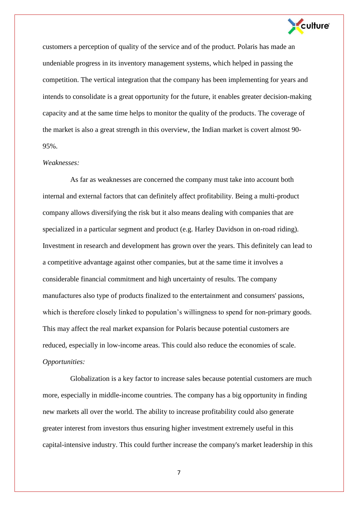

customers a perception of quality of the service and of the product. Polaris has made an undeniable progress in its inventory management systems, which helped in passing the competition. The vertical integration that the company has been implementing for years and intends to consolidate is a great opportunity for the future, it enables greater decision-making capacity and at the same time helps to monitor the quality of the products. The coverage of the market is also a great strength in this overview, the Indian market is covert almost 90- 95%.

#### *Weaknesses:*

As far as weaknesses are concerned the company must take into account both internal and external factors that can definitely affect profitability. Being a multi-product company allows diversifying the risk but it also means dealing with companies that are specialized in a particular segment and product (e.g. Harley Davidson in on-road riding). Investment in research and development has grown over the years. This definitely can lead to a competitive advantage against other companies, but at the same time it involves a considerable financial commitment and high uncertainty of results. The company manufactures also type of products finalized to the entertainment and consumers' passions, which is therefore closely linked to population's willingness to spend for non-primary goods. This may affect the real market expansion for Polaris because potential customers are reduced, especially in low-income areas. This could also reduce the economies of scale. *Opportunities:*

Globalization is a key factor to increase sales because potential customers are much more, especially in middle-income countries. The company has a big opportunity in finding new markets all over the world. The ability to increase profitability could also generate greater interest from investors thus ensuring higher investment extremely useful in this capital-intensive industry. This could further increase the company's market leadership in this

7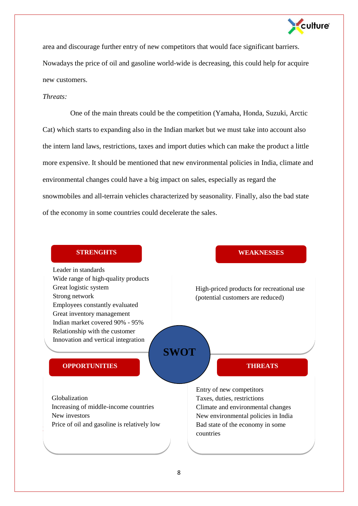

area and discourage further entry of new competitors that would face significant barriers. Nowadays the price of oil and gasoline world-wide is decreasing, this could help for acquire new customers.

## *Threats:*

One of the main threats could be the competition (Yamaha, Honda, Suzuki, Arctic Cat) which starts to expanding also in the Indian market but we must take into account also the intern land laws, restrictions, taxes and import duties which can make the product a little more expensive. It should be mentioned that new environmental policies in India, climate and environmental changes could have a big impact on sales, especially as regard the snowmobiles and all-terrain vehicles characterized by seasonality. Finally, also the bad state of the economy in some countries could decelerate the sales.

## **STRENGHTS WEAKNESSES**

Leader in standards Wide range of high-quality products Great logistic system Strong network Employees constantly evaluated Great inventory management Indian market covered 90% - 95%

Relationship with the customer Innovation and vertical integration

## **OPPORTUNITIES**

Price of oil and gasoline is relatively low Globalization Increasing of middle-income countries New investors

High-priced products for recreational use (potential customers are reduced)

# **THREATS**

Entry of new competitors Taxes, duties, restrictions Climate and environmental changes New environmental policies in India Bad state of the economy in some countries

**SWOT**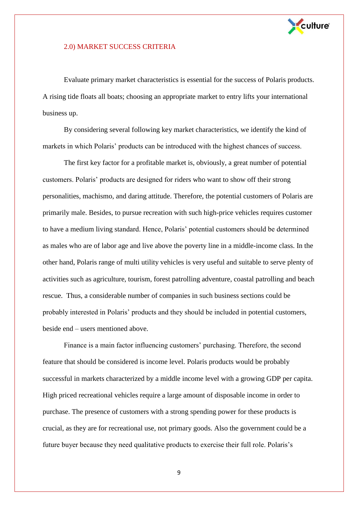

#### 2.0) MARKET SUCCESS CRITERIA

Evaluate primary market characteristics is essential for the success of Polaris products. A rising tide floats all boats; choosing an appropriate market to entry lifts your international business up.

By considering several following key market characteristics, we identify the kind of markets in which Polaris' products can be introduced with the highest chances of success.

The first key factor for a profitable market is, obviously, a great number of potential customers. Polaris' products are designed for riders who want to show off their strong personalities, machismo, and daring attitude. Therefore, the potential customers of Polaris are primarily male. Besides, to pursue recreation with such high-price vehicles requires customer to have a medium living standard. Hence, Polaris' potential customers should be determined as males who are of labor age and live above the poverty line in a middle-income class. In the other hand, Polaris range of multi utility vehicles is very useful and suitable to serve plenty of activities such as agriculture, tourism, forest patrolling adventure, coastal patrolling and beach rescue. Thus, a considerable number of companies in such business sections could be probably interested in Polaris' products and they should be included in potential customers, beside end – users mentioned above.

Finance is a main factor influencing customers' purchasing. Therefore, the second feature that should be considered is income level. Polaris products would be probably successful in markets characterized by a middle income level with a growing GDP per capita. High priced recreational vehicles require a large amount of disposable income in order to purchase. The presence of customers with a strong spending power for these products is crucial, as they are for recreational use, not primary goods. Also the government could be a future buyer because they need qualitative products to exercise their full role. Polaris's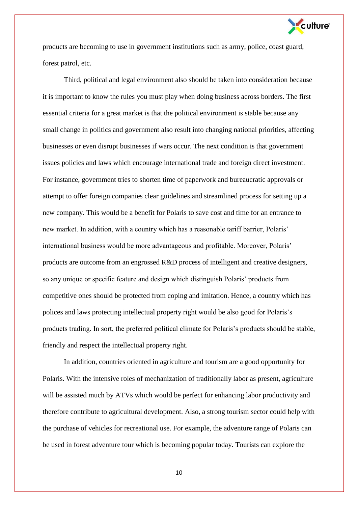

products are becoming to use in government institutions such as army, police, coast guard, forest patrol, etc.

Third, political and legal environment also should be taken into consideration because it is important to know the rules you must play when doing business across borders. The first essential criteria for a great market is that the political environment is stable because any small change in politics and government also result into changing national priorities, affecting businesses or even disrupt businesses if wars occur. The next condition is that government issues policies and laws which encourage international trade and foreign direct investment. For instance, government tries to shorten time of paperwork and bureaucratic approvals or attempt to offer foreign companies clear guidelines and streamlined process for setting up a new company. This would be a benefit for Polaris to save cost and time for an entrance to new market. In addition, with a country which has a reasonable tariff barrier, Polaris' international business would be more advantageous and profitable. Moreover, Polaris' products are outcome from an engrossed R&D process of intelligent and creative designers, so any unique or specific feature and design which distinguish Polaris' products from competitive ones should be protected from coping and imitation. Hence, a country which has polices and laws protecting intellectual property right would be also good for Polaris's products trading. In sort, the preferred political climate for Polaris's products should be stable, friendly and respect the intellectual property right.

In addition, countries oriented in agriculture and tourism are a good opportunity for Polaris. With the intensive roles of mechanization of traditionally labor as present, agriculture will be assisted much by ATVs which would be perfect for enhancing labor productivity and therefore contribute to agricultural development. Also, a strong tourism sector could help with the purchase of vehicles for recreational use. For example, the adventure range of Polaris can be used in forest adventure tour which is becoming popular today. Tourists can explore the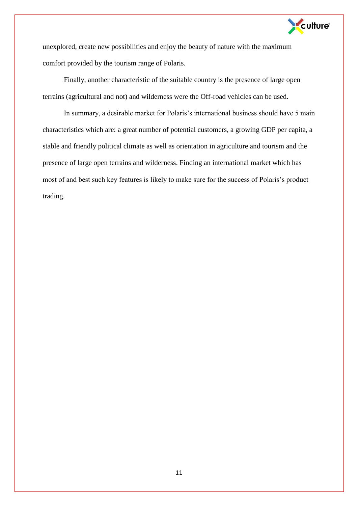

unexplored, create new possibilities and enjoy the beauty of nature with the maximum comfort provided by the tourism range of Polaris.

Finally, another characteristic of the suitable country is the presence of large open terrains (agricultural and not) and wilderness were the Off-road vehicles can be used.

In summary, a desirable market for Polaris's international business should have 5 main characteristics which are: a great number of potential customers, a growing GDP per capita, a stable and friendly political climate as well as orientation in agriculture and tourism and the presence of large open terrains and wilderness. Finding an international market which has most of and best such key features is likely to make sure for the success of Polaris's product trading.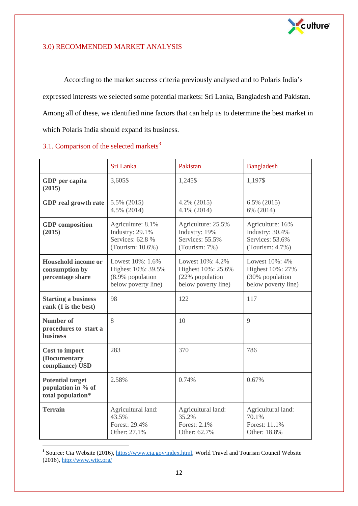

## 3.0) RECOMMENDED MARKET ANALYSIS

According to the market success criteria previously analysed and to Polaris India's expressed interests we selected some potential markets: Sri Lanka, Bangladesh and Pakistan. Among all of these, we identified nine factors that can help us to determine the best market in which Polaris India should expand its business.

|                                                                    | Sri Lanka                                                                         | Pakistan                                                                         | <b>Bangladesh</b>                                                             |
|--------------------------------------------------------------------|-----------------------------------------------------------------------------------|----------------------------------------------------------------------------------|-------------------------------------------------------------------------------|
| GDP per capita<br>(2015)                                           | 3,605\$                                                                           | 1,245\$                                                                          | 1,197\$                                                                       |
| <b>GDP</b> real growth rate                                        | 5.5% (2015)<br>4.5% (2014)                                                        | 4.2% (2015)<br>4.1% (2014)                                                       | 6.5% (2015)<br>6% (2014)                                                      |
| <b>GDP</b> composition<br>(2015)                                   | Agriculture: 8.1%<br>Industry: 29.1%<br>Services: 62.8 %<br>(Tourism: 10.6%)      | Agriculture: 25.5%<br>Industry: 19%<br>Services: 55.5%<br>(Tourism: 7%)          | Agriculture: 16%<br>Industry: 30.4%<br>Services: 53.6%<br>(Tourism: $4.7\%$ ) |
| <b>Household income or</b><br>consumption by<br>percentage share   | Lowest 10%: 1.6%<br>Highest 10%: 39.5%<br>(8.9% population<br>below poverty line) | Lowest 10%: 4.2%<br>Highest 10%: 25.6%<br>(22% population<br>below poverty line) | Lowest 10%: 4%<br>Highest 10%: 27%<br>(30% population<br>below poverty line)  |
| <b>Starting a business</b><br>rank (1 is the best)                 | 98                                                                                | 122                                                                              | 117                                                                           |
| <b>Number of</b><br>procedures to start a<br><b>business</b>       | 8                                                                                 | 10                                                                               | 9                                                                             |
| Cost to import<br>(Documentary<br>compliance) USD                  | 283                                                                               | 370                                                                              | 786                                                                           |
| <b>Potential target</b><br>population in % of<br>total population* | 2.58%                                                                             | 0.74%                                                                            | 0.67%                                                                         |
| <b>Terrain</b>                                                     | Agricultural land:<br>43.5%<br>Forest: 29.4%<br>Other: 27.1%                      | Agricultural land:<br>35.2%<br>Forest: 2.1%<br>Other: 62.7%                      | Agricultural land:<br>70.1%<br>Forest: 11.1%<br>Other: 18.8%                  |

## 3.1. Comparison of the selected markets $3$

<sup>&</sup>lt;sup>3</sup> Source: Cia Website (2016), [https://www.cia.gov/index.html,](https://www.cia.gov/index.html) World Travel and Tourism Council Website (2016)[, http://www.wttc.org/](http://www.wttc.org/)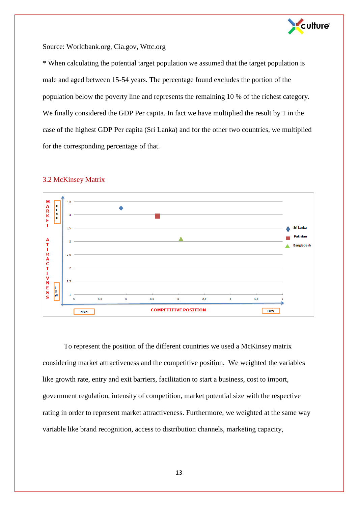

Source: Worldbank.org, Cia.gov, Wttc.org

\* When calculating the potential target population we assumed that the target population is male and aged between 15-54 years. The percentage found excludes the portion of the population below the poverty line and represents the remaining 10 % of the richest category. We finally considered the GDP Per capita. In fact we have multiplied the result by 1 in the case of the highest GDP Per capita (Sri Lanka) and for the other two countries, we multiplied for the corresponding percentage of that.



#### 3.2 McKinsey Matrix

To represent the position of the different countries we used a McKinsey matrix considering market attractiveness and the competitive position. We weighted the variables like growth rate, entry and exit barriers, facilitation to start a business, cost to import, government regulation, intensity of competition, market potential size with the respective rating in order to represent market attractiveness. Furthermore, we weighted at the same way variable like brand recognition, access to distribution channels, marketing capacity,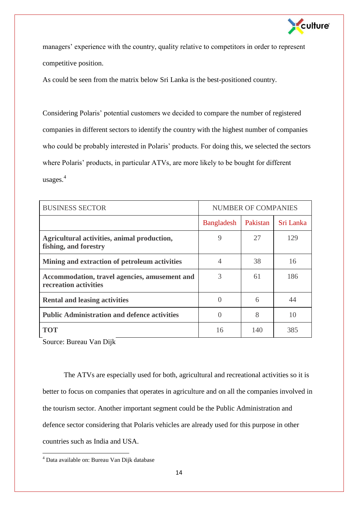

managers' experience with the country, quality relative to competitors in order to represent competitive position.

As could be seen from the matrix below Sri Lanka is the best-positioned country.

Considering Polaris' potential customers we decided to compare the number of registered companies in different sectors to identify the country with the highest number of companies who could be probably interested in Polaris' products. For doing this, we selected the sectors where Polaris' products, in particular ATVs, are more likely to be bought for different usages. 4

| <b>BUSINESS SECTOR</b>                                                 | <b>NUMBER OF COMPANIES</b> |          |           |
|------------------------------------------------------------------------|----------------------------|----------|-----------|
|                                                                        | Bangladesh                 | Pakistan | Sri Lanka |
| Agricultural activities, animal production,<br>fishing, and forestry   | 9                          | 27       | 129       |
| Mining and extraction of petroleum activities                          | 4                          | 38       | 16        |
| Accommodation, travel agencies, amusement and<br>recreation activities | 3                          | 61       | 186       |
| <b>Rental and leasing activities</b>                                   | $\Omega$                   | 6        | 44        |
| <b>Public Administration and defence activities</b>                    | $\Omega$                   | 8        | 10        |
| <b>TOT</b>                                                             | 16                         | 140      | 385       |

Source: Bureau Van Dijk

The ATVs are especially used for both, agricultural and recreational activities so it is better to focus on companies that operates in agriculture and on all the companies involved in the tourism sector. Another important segment could be the Public Administration and defence sector considering that Polaris vehicles are already used for this purpose in other countries such as India and USA.

l

<sup>&</sup>lt;sup>4</sup> Data available on: Bureau Van Dijk database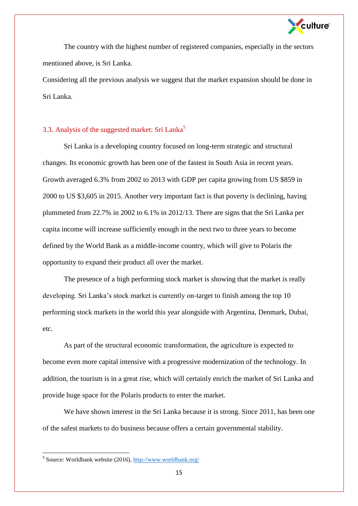

The country with the highest number of registered companies, especially in the sectors mentioned above, is Sri Lanka.

Considering all the previous analysis we suggest that the market expansion should be done in Sri Lanka.

## 3.3. Analysis of the suggested market: Sri Lanka<sup>5</sup>

Sri Lanka is a developing country focused on long-term strategic and structural changes. Its economic growth has been one of the fastest in South Asia in recent years. Growth averaged 6.3% from 2002 to 2013 with GDP per capita growing from US \$859 in 2000 to US \$3,605 in 2015. Another very important fact is that poverty is declining, having plummeted from 22.7% in 2002 to 6.1% in 2012/13. There are signs that the Sri Lanka per capita income will increase sufficiently enough in the next two to three years to become defined by the World Bank as a middle-income country, which will give to Polaris the opportunity to expand their product all over the market.

The presence of a high performing stock market is showing that the market is really developing. Sri Lanka's stock market is currently on-target to finish among the top 10 performing stock markets in the world this year alongside with Argentina, Denmark, Dubai, etc.

As part of the structural economic transformation, the agriculture is expected to become even more capital intensive with a progressive modernization of the technology. In addition, the tourism is in a great rise, which will certainly enrich the market of Sri Lanka and provide huge space for the Polaris products to enter the market.

We have shown interest in the Sri Lanka because it is strong. Since 2011, has been one of the safest markets to do business because offers a certain governmental stability.

<sup>&</sup>lt;sup>5</sup> Source: Worldbank website (2016)[, http://www.worldbank.org/](http://www.worldbank.org/)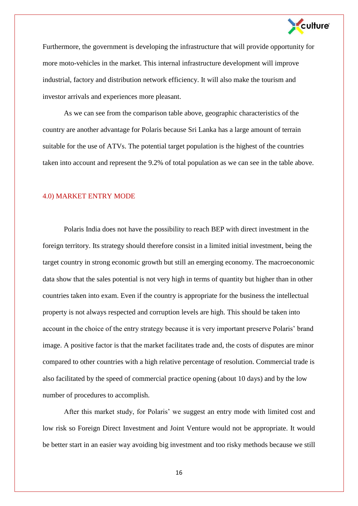

Furthermore, the government is developing the infrastructure that will provide opportunity for more moto-vehicles in the market. This internal infrastructure development will improve industrial, factory and distribution network efficiency. It will also make the tourism and investor arrivals and experiences more pleasant.

As we can see from the comparison table above, geographic characteristics of the country are another advantage for Polaris because Sri Lanka has a large amount of terrain suitable for the use of ATVs. The potential target population is the highest of the countries taken into account and represent the 9.2% of total population as we can see in the table above.

#### 4.0) MARKET ENTRY MODE

Polaris India does not have the possibility to reach BEP with direct investment in the foreign territory. Its strategy should therefore consist in a limited initial investment, being the target country in strong economic growth but still an emerging economy. The macroeconomic data show that the sales potential is not very high in terms of quantity but higher than in other countries taken into exam. Even if the country is appropriate for the business the intellectual property is not always respected and corruption levels are high. This should be taken into account in the choice of the entry strategy because it is very important preserve Polaris' brand image. A positive factor is that the market facilitates trade and, the costs of disputes are minor compared to other countries with a high relative percentage of resolution. Commercial trade is also facilitated by the speed of commercial practice opening (about 10 days) and by the low number of procedures to accomplish.

After this market study, for Polaris' we suggest an entry mode with limited cost and low risk so Foreign Direct Investment and Joint Venture would not be appropriate. It would be better start in an easier way avoiding big investment and too risky methods because we still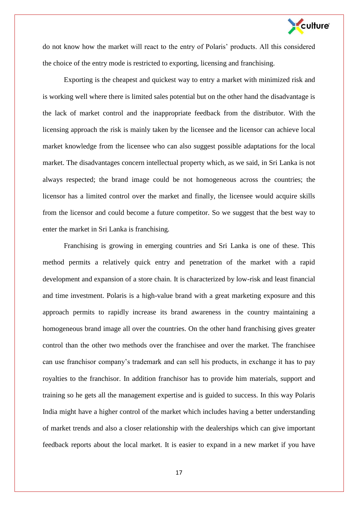

do not know how the market will react to the entry of Polaris' products. All this considered the choice of the entry mode is restricted to exporting, licensing and franchising.

Exporting is the cheapest and quickest way to entry a market with minimized risk and is working well where there is limited sales potential but on the other hand the disadvantage is the lack of market control and the inappropriate feedback from the distributor. With the licensing approach the risk is mainly taken by the licensee and the licensor can achieve local market knowledge from the licensee who can also suggest possible adaptations for the local market. The disadvantages concern intellectual property which, as we said, in Sri Lanka is not always respected; the brand image could be not homogeneous across the countries; the licensor has a limited control over the market and finally, the licensee would acquire skills from the licensor and could become a future competitor. So we suggest that the best way to enter the market in Sri Lanka is franchising.

Franchising is growing in emerging countries and Sri Lanka is one of these. This method permits a relatively quick entry and penetration of the market with a rapid development and expansion of a store chain. It is characterized by low-risk and least financial and time investment. Polaris is a high-value brand with a great marketing exposure and this approach permits to rapidly increase its brand awareness in the country maintaining a homogeneous brand image all over the countries. On the other hand franchising gives greater control than the other two methods over the franchisee and over the market. The franchisee can use franchisor company's trademark and can sell his products, in exchange it has to pay royalties to the franchisor. In addition franchisor has to provide him materials, support and training so he gets all the management expertise and is guided to success. In this way Polaris India might have a higher control of the market which includes having a better understanding of market trends and also a closer relationship with the dealerships which can give important feedback reports about the local market. It is easier to expand in a new market if you have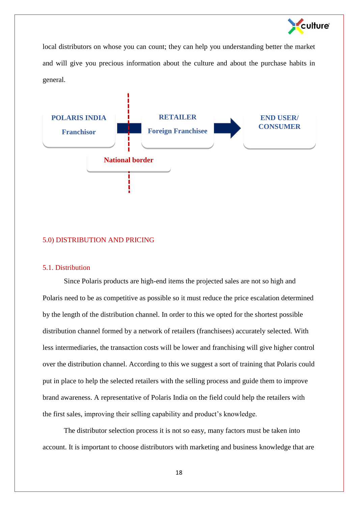

local distributors on whose you can count; they can help you understanding better the market and will give you precious information about the culture and about the purchase habits in general.



## 5.0) DISTRIBUTION AND PRICING

## 5.1. Distribution

Since Polaris products are high-end items the projected sales are not so high and Polaris need to be as competitive as possible so it must reduce the price escalation determined by the length of the distribution channel. In order to this we opted for the shortest possible distribution channel formed by a network of retailers (franchisees) accurately selected. With less intermediaries, the transaction costs will be lower and franchising will give higher control over the distribution channel. According to this we suggest a sort of training that Polaris could put in place to help the selected retailers with the selling process and guide them to improve brand awareness. A representative of Polaris India on the field could help the retailers with the first sales, improving their selling capability and product's knowledge.

The distributor selection process it is not so easy, many factors must be taken into account. It is important to choose distributors with marketing and business knowledge that are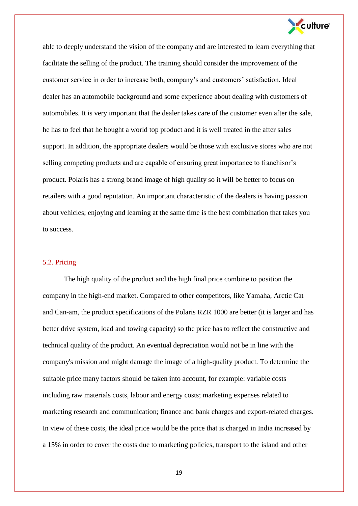

able to deeply understand the vision of the company and are interested to learn everything that facilitate the selling of the product. The training should consider the improvement of the customer service in order to increase both, company's and customers' satisfaction. Ideal dealer has an automobile background and some experience about dealing with customers of automobiles. It is very important that the dealer takes care of the customer even after the sale, he has to feel that he bought a world top product and it is well treated in the after sales support. In addition, the appropriate dealers would be those with exclusive stores who are not selling competing products and are capable of ensuring great importance to franchisor's product. Polaris has a strong brand image of high quality so it will be better to focus on retailers with a good reputation. An important characteristic of the dealers is having passion about vehicles; enjoying and learning at the same time is the best combination that takes you to success.

#### 5.2. Pricing

The high quality of the product and the high final price combine to position the company in the high-end market. Compared to other competitors, like Yamaha, Arctic Cat and Can-am, the product specifications of the Polaris RZR 1000 are better (it is larger and has better drive system, load and towing capacity) so the price has to reflect the constructive and technical quality of the product. An eventual depreciation would not be in line with the company's mission and might damage the image of a high-quality product. To determine the suitable price many factors should be taken into account, for example: variable costs including raw materials costs, labour and energy costs; marketing expenses related to marketing research and communication; finance and bank charges and export-related charges. In view of these costs, the ideal price would be the price that is charged in India increased by a 15% in order to cover the costs due to marketing policies, transport to the island and other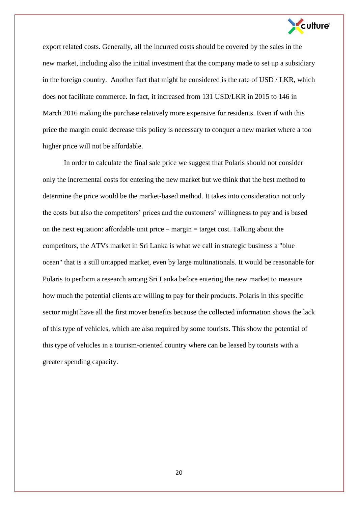

export related costs. Generally, all the incurred costs should be covered by the sales in the new market, including also the initial investment that the company made to set up a subsidiary in the foreign country. Another fact that might be considered is the rate of USD / LKR, which does not facilitate commerce. In fact, it increased from 131 USD/LKR in 2015 to 146 in March 2016 making the purchase relatively more expensive for residents. Even if with this price the margin could decrease this policy is necessary to conquer a new market where a too higher price will not be affordable.

In order to calculate the final sale price we suggest that Polaris should not consider only the incremental costs for entering the new market but we think that the best method to determine the price would be the market-based method. It takes into consideration not only the costs but also the competitors' prices and the customers' willingness to pay and is based on the next equation: affordable unit price – margin = target cost. Talking about the competitors, the ATVs market in Sri Lanka is what we call in strategic business a "blue ocean" that is a still untapped market, even by large multinationals. It would be reasonable for Polaris to perform a research among Sri Lanka before entering the new market to measure how much the potential clients are willing to pay for their products. Polaris in this specific sector might have all the first mover benefits because the collected information shows the lack of this type of vehicles, which are also required by some tourists. This show the potential of this type of vehicles in a tourism-oriented country where can be leased by tourists with a greater spending capacity.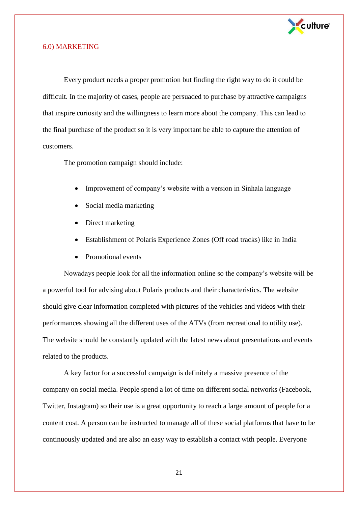

#### 6.0) MARKETING

Every product needs a proper promotion but finding the right way to do it could be difficult. In the majority of cases, people are persuaded to purchase by attractive campaigns that inspire curiosity and the willingness to learn more about the company. This can lead to the final purchase of the product so it is very important be able to capture the attention of customers.

The promotion campaign should include:

- Improvement of company's website with a version in Sinhala language
- Social media marketing
- Direct marketing
- Establishment of Polaris Experience Zones (Off road tracks) like in India
- Promotional events

Nowadays people look for all the information online so the company's website will be a powerful tool for advising about Polaris products and their characteristics. The website should give clear information completed with pictures of the vehicles and videos with their performances showing all the different uses of the ATVs (from recreational to utility use). The website should be constantly updated with the latest news about presentations and events related to the products.

A key factor for a successful campaign is definitely a massive presence of the company on social media. People spend a lot of time on different social networks (Facebook, Twitter, Instagram) so their use is a great opportunity to reach a large amount of people for a content cost. A person can be instructed to manage all of these social platforms that have to be continuously updated and are also an easy way to establish a contact with people. Everyone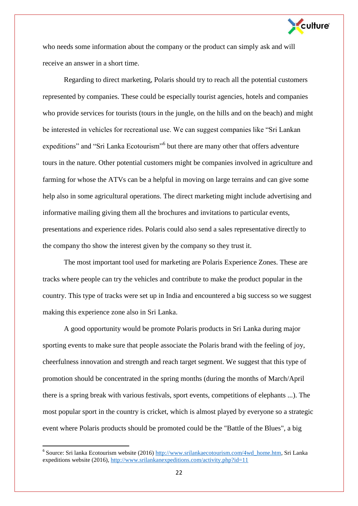

who needs some information about the company or the product can simply ask and will receive an answer in a short time.

Regarding to direct marketing, Polaris should try to reach all the potential customers represented by companies. These could be especially tourist agencies, hotels and companies who provide services for tourists (tours in the jungle, on the hills and on the beach) and might be interested in vehicles for recreational use. We can suggest companies like "Sri Lankan expeditions" and "Sri Lanka Ecotourism"<sup>6</sup> but there are many other that offers adventure tours in the nature. Other potential customers might be companies involved in agriculture and farming for whose the ATVs can be a helpful in moving on large terrains and can give some help also in some agricultural operations. The direct marketing might include advertising and informative mailing giving them all the brochures and invitations to particular events, presentations and experience rides. Polaris could also send a sales representative directly to the company tho show the interest given by the company so they trust it.

The most important tool used for marketing are Polaris Experience Zones. These are tracks where people can try the vehicles and contribute to make the product popular in the country. This type of tracks were set up in India and encountered a big success so we suggest making this experience zone also in Sri Lanka.

A good opportunity would be promote Polaris products in Sri Lanka during major sporting events to make sure that people associate the Polaris brand with the feeling of joy, cheerfulness innovation and strength and reach target segment. We suggest that this type of promotion should be concentrated in the spring months (during the months of March/April there is a spring break with various festivals, sport events, competitions of elephants ...). The most popular sport in the country is cricket, which is almost played by everyone so a strategic event where Polaris products should be promoted could be the "Battle of the Blues", a big

 $\overline{a}$ 

<sup>&</sup>lt;sup>6</sup> Source: Sri lanka Ecotourism website (2016[\) http://www.srilankaecotourism.com/4wd\\_home.htm,](http://www.srilankaecotourism.com/4wd_home.htm) Sri Lanka expeditions website (2016),<http://www.srilankanexpeditions.com/activity.php?id=11>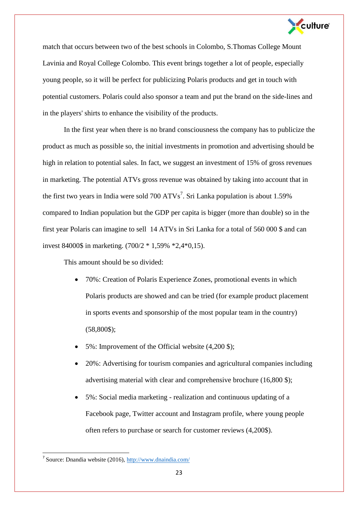

match that occurs between two of the best schools in Colombo, S.Thomas College Mount Lavinia and Royal College Colombo. This event brings together a lot of people, especially young people, so it will be perfect for publicizing Polaris products and get in touch with potential customers. Polaris could also sponsor a team and put the brand on the side-lines and in the players' shirts to enhance the visibility of the products.

In the first year when there is no brand consciousness the company has to publicize the product as much as possible so, the initial investments in promotion and advertising should be high in relation to potential sales. In fact, we suggest an investment of 15% of gross revenues in marketing. The potential ATVs gross revenue was obtained by taking into account that in the first two years in India were sold  $700 A T V s^7$ . Sri Lanka population is about 1.59% compared to Indian population but the GDP per capita is bigger (more than double) so in the first year Polaris can imagine to sell 14 ATVs in Sri Lanka for a total of 560 000 \$ and can invest 84000\$ in marketing. (700/2 \* 1,59% \*2,4\*0,15).

This amount should be so divided:

- 70%: Creation of Polaris Experience Zones, promotional events in which Polaris products are showed and can be tried (for example product placement in sports events and sponsorship of the most popular team in the country) (58,800\$);
- 5%: Improvement of the Official website (4,200 \$);
- 20%: Advertising for tourism companies and agricultural companies including advertising material with clear and comprehensive brochure (16,800 \$);
- 5%: Social media marketing realization and continuous updating of a Facebook page, Twitter account and Instagram profile, where young people often refers to purchase or search for customer reviews (4,200\$).

<sup>&</sup>lt;sup>7</sup> Source: Dnandia website (2016)[, http://www.dnaindia.com/](http://www.dnaindia.com/)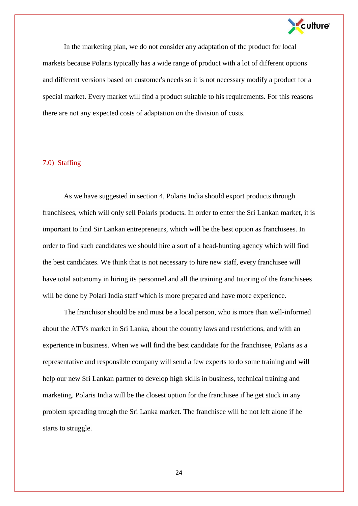

In the marketing plan, we do not consider any adaptation of the product for local markets because Polaris typically has a wide range of product with a lot of different options and different versions based on customer's needs so it is not necessary modify a product for a special market. Every market will find a product suitable to his requirements. For this reasons there are not any expected costs of adaptation on the division of costs.

### 7.0) Staffing

As we have suggested in section 4, Polaris India should export products through franchisees, which will only sell Polaris products. In order to enter the Sri Lankan market, it is important to find Sir Lankan entrepreneurs, which will be the best option as franchisees. In order to find such candidates we should hire a sort of a head-hunting agency which will find the best candidates. We think that is not necessary to hire new staff, every franchisee will have total autonomy in hiring its personnel and all the training and tutoring of the franchisees will be done by Polari India staff which is more prepared and have more experience.

The franchisor should be and must be a local person, who is more than well-informed about the ATVs market in Sri Lanka, about the country laws and restrictions, and with an experience in business. When we will find the best candidate for the franchisee, Polaris as a representative and responsible company will send a few experts to do some training and will help our new Sri Lankan partner to develop high skills in business, technical training and marketing. Polaris India will be the closest option for the franchisee if he get stuck in any problem spreading trough the Sri Lanka market. The franchisee will be not left alone if he starts to struggle.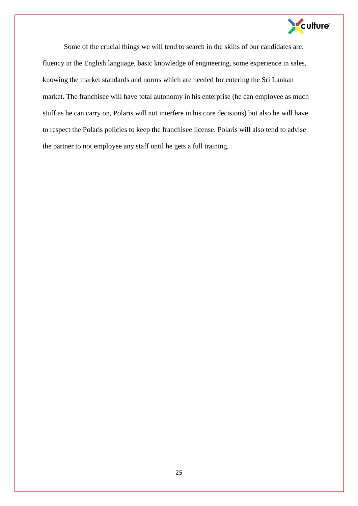

Some of the crucial things we will tend to search in the skills of our candidates are: fluency in the English language, basic knowledge of engineering, some experience in sales, knowing the market standards and norms which are needed for entering the Sri Lankan market. The franchisee will have total autonomy in his enterprise (he can employee as much stuff as he can carry on, Polaris will not interfere in his core decisions) but also he will have to respect the Polaris policies to keep the franchisee license. Polaris will also tend to advise the partner to not employee any staff until he gets a full training.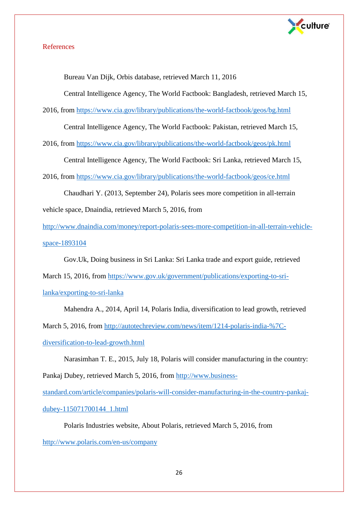

## References

Bureau Van Dijk, Orbis database, retrieved March 11, 2016

Central Intelligence Agency, The World Factbook: Bangladesh, retrieved March 15,

2016, from<https://www.cia.gov/library/publications/the-world-factbook/geos/bg.html>

Central Intelligence Agency, The World Factbook: Pakistan, retrieved March 15,

2016, from<https://www.cia.gov/library/publications/the-world-factbook/geos/pk.html>

Central Intelligence Agency, The World Factbook: Sri Lanka, retrieved March 15,

2016, from<https://www.cia.gov/library/publications/the-world-factbook/geos/ce.html>

Chaudhari Y. (2013, September 24), Polaris sees more competition in all-terrain

vehicle space, Dnaindia, retrieved March 5, 2016, from

[http://www.dnaindia.com/money/report-polaris-sees-more-competition-in-all-terrain-vehicle](http://www.dnaindia.com/money/report-polaris-sees-more-competition-in-all-terrain-vehicle-space-1893104)[space-1893104](http://www.dnaindia.com/money/report-polaris-sees-more-competition-in-all-terrain-vehicle-space-1893104)

Gov.Uk, Doing business in Sri Lanka: Sri Lanka trade and export guide, retrieved

March 15, 2016, from [https://www.gov.uk/government/publications/exporting-to-sri-](https://www.gov.uk/government/publications/exporting-to-sri-lanka/exporting-to-sri-lanka)

[lanka/exporting-to-sri-lanka](https://www.gov.uk/government/publications/exporting-to-sri-lanka/exporting-to-sri-lanka)

Mahendra A., 2014, April 14, Polaris India, diversification to lead growth, retrieved

March 5, 2016, from [http://autotechreview.com/news/item/1214-polaris-india-%7C-](http://autotechreview.com/news/item/1214-polaris-india-%7C-diversification-to-lead-growth.html)

[diversification-to-lead-growth.html](http://autotechreview.com/news/item/1214-polaris-india-%7C-diversification-to-lead-growth.html)

Narasimhan T. E., 2015, July 18, Polaris will consider manufacturing in the country:

Pankaj Dubey, retrieved March 5, 2016, from [http://www.business-](http://www.business-standard.com/article/companies/polaris-will-consider-manufacturing-in-the-country-pankaj-dubey-115071700144_1.html)

[standard.com/article/companies/polaris-will-consider-manufacturing-in-the-country-pankaj](http://www.business-standard.com/article/companies/polaris-will-consider-manufacturing-in-the-country-pankaj-dubey-115071700144_1.html)[dubey-115071700144\\_1.html](http://www.business-standard.com/article/companies/polaris-will-consider-manufacturing-in-the-country-pankaj-dubey-115071700144_1.html)

Polaris Industries website, About Polaris, retrieved March 5, 2016, from

<http://www.polaris.com/en-us/company>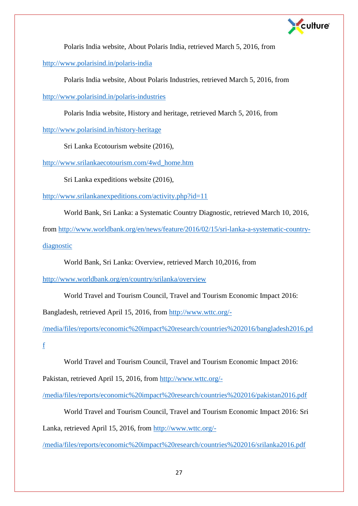

Polaris India website, About Polaris India, retrieved March 5, 2016, from

<http://www.polarisind.in/polaris-india>

Polaris India website, About Polaris Industries, retrieved March 5, 2016, from

<http://www.polarisind.in/polaris-industries>

Polaris India website, History and heritage, retrieved March 5, 2016, from

<http://www.polarisind.in/history-heritage>

Sri Lanka Ecotourism website (2016),

[http://www.srilankaecotourism.com/4wd\\_home.htm](http://www.srilankaecotourism.com/4wd_home.htm)

Sri Lanka expeditions website (2016),

http://www.srilankanexpeditions.com/activity.php?id=11

World Bank, Sri Lanka: a Systematic Country Diagnostic, retrieved March 10, 2016,

from [http://www.worldbank.org/en/news/feature/2016/02/15/sri-lanka-a-systematic-country-](http://www.worldbank.org/en/news/feature/2016/02/15/sri-lanka-a-systematic-country-diagnostic)

[diagnostic](http://www.worldbank.org/en/news/feature/2016/02/15/sri-lanka-a-systematic-country-diagnostic)

World Bank, Sri Lanka: Overview, retrieved March 10,2016, from

<http://www.worldbank.org/en/country/srilanka/overview>

World Travel and Tourism Council, Travel and Tourism Economic Impact 2016:

Bangladesh, retrieved April 15, 2016, from [http://www.wttc.org/-](http://www.wttc.org/-/media/files/reports/economic%20impact%20research/countries%202016/bangladesh2016.pdf)

[/media/files/reports/economic%20impact%20research/countries%202016/bangladesh2016.pd](http://www.wttc.org/-/media/files/reports/economic%20impact%20research/countries%202016/bangladesh2016.pdf)

[f](http://www.wttc.org/-/media/files/reports/economic%20impact%20research/countries%202016/bangladesh2016.pdf)

World Travel and Tourism Council, Travel and Tourism Economic Impact 2016:

Pakistan, retrieved April 15, 2016, from [http://www.wttc.org/-](http://www.wttc.org/-/media/files/reports/economic%20impact%20research/countries%202016/pakistan2016.pdf)

[/media/files/reports/economic%20impact%20research/countries%202016/pakistan2016.pdf](http://www.wttc.org/-/media/files/reports/economic%20impact%20research/countries%202016/pakistan2016.pdf)

World Travel and Tourism Council, Travel and Tourism Economic Impact 2016: Sri

Lanka, retrieved April 15, 2016, from [http://www.wttc.org/-](http://www.wttc.org/-/media/files/reports/economic%20impact%20research/countries%202016/srilanka2016.pdf)

[/media/files/reports/economic%20impact%20research/countries%202016/srilanka2016.pdf](http://www.wttc.org/-/media/files/reports/economic%20impact%20research/countries%202016/srilanka2016.pdf)